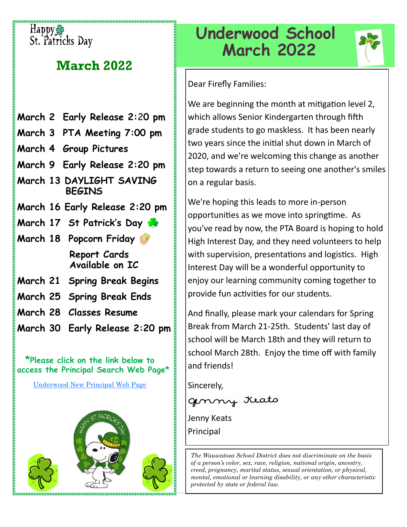## Happyss St. Patricks Day

# **March 2022**

- **March 2 Early Release 2:**2**0 pm**
- **March 3 PTA Meeting 7:00 pm**
- **March 4 Group Pictures**
- **March 9 Early Release 2:20 pm**
- **March 13 DAYLIGHT SAVING BEGINS**
- **March 16 Early Release 2:20 pm**
- **March 17 St Patrick's Day**
- **March 18 Popcorn Friday Report Cards Available on IC**
- **March 21 Spring Break Begins**
- **March 25 Spring Break Ends**
- **March 28 Classes Resume**
- **March 30 Early Release 2:20 pm**

 **\*Please click on the link below to access the Principal Search Web Page\*** 

[Underwood New Principal Web Page](https://www.wauwatosa.k12.wi.us/Page/8509)



# **Underwood School March 2022**



Dear Firefly Families:

We are beginning the month at mitigation level 2, which allows Senior Kindergarten through fifth grade students to go maskless. It has been nearly two years since the initial shut down in March of 2020, and we're welcoming this change as another step towards a return to seeing one another's smiles on a regular basis.

We're hoping this leads to more in-person opportunities as we move into springtime. As you've read by now, the PTA Board is hoping to hold High Interest Day, and they need volunteers to help with supervision, presentations and logistics. High Interest Day will be a wonderful opportunity to enjoy our learning community coming together to provide fun activities for our students.

And finally, please mark your calendars for Spring Break from March 21-25th. Students' last day of school will be March 18th and they will return to school March 28th. Enjoy the time off with family and friends!

Sincerely,

genny Keato

Jenny Keats Principal

*The Wauwatosa School District does not discriminate on the basis of a person's color, sex, race, religion, national origin, ancestry, creed, pregnancy, marital status, sexual orientation, or physical, mental, emotional or learning disability, or any other characteristic protected by state or federal law.*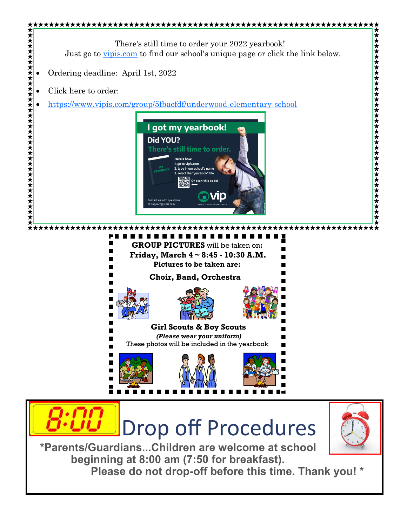